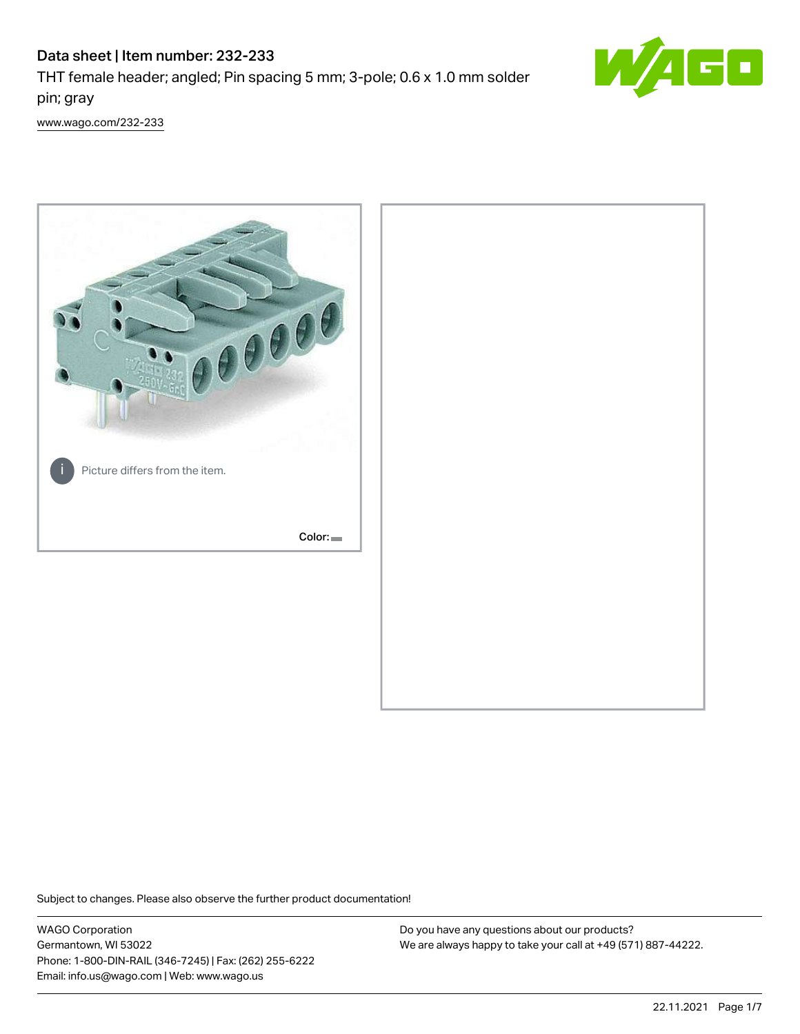## Data sheet | Item number: 232-233

THT female header; angled; Pin spacing 5 mm; 3-pole; 0.6 x 1.0 mm solder pin; gray



[www.wago.com/232-233](http://www.wago.com/232-233)



Subject to changes. Please also observe the further product documentation!

WAGO Corporation Germantown, WI 53022 Phone: 1-800-DIN-RAIL (346-7245) | Fax: (262) 255-6222 Email: info.us@wago.com | Web: www.wago.us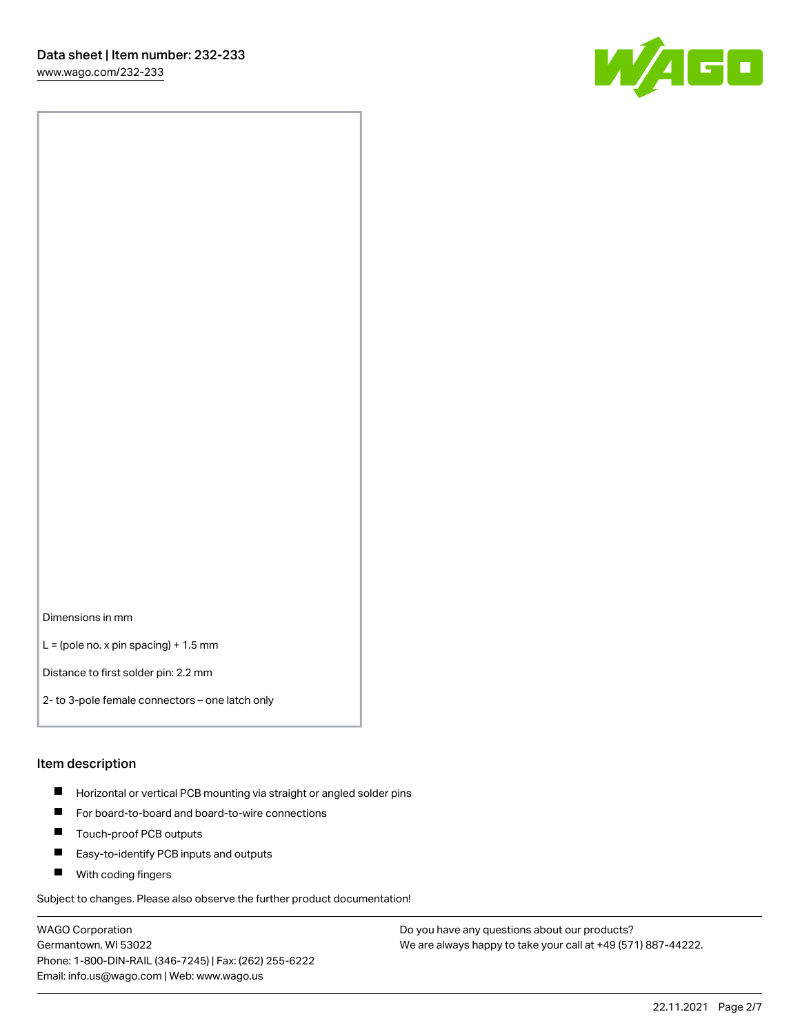[www.wago.com/232-233](http://www.wago.com/232-233)



Dimensions in mm

 $L =$  (pole no. x pin spacing) + 1.5 mm

Distance to first solder pin: 2.2 mm

2- to 3-pole female connectors – one latch only

#### Item description

- **Horizontal or vertical PCB mounting via straight or angled solder pins**
- For board-to-board and board-to-wire connections
- $\blacksquare$ Touch-proof PCB outputs
- $\blacksquare$ Easy-to-identify PCB inputs and outputs
- **Now With coding fingers**

Subject to changes. Please also observe the further product documentation!

WAGO Corporation Germantown, WI 53022 Phone: 1-800-DIN-RAIL (346-7245) | Fax: (262) 255-6222 Email: info.us@wago.com | Web: www.wago.us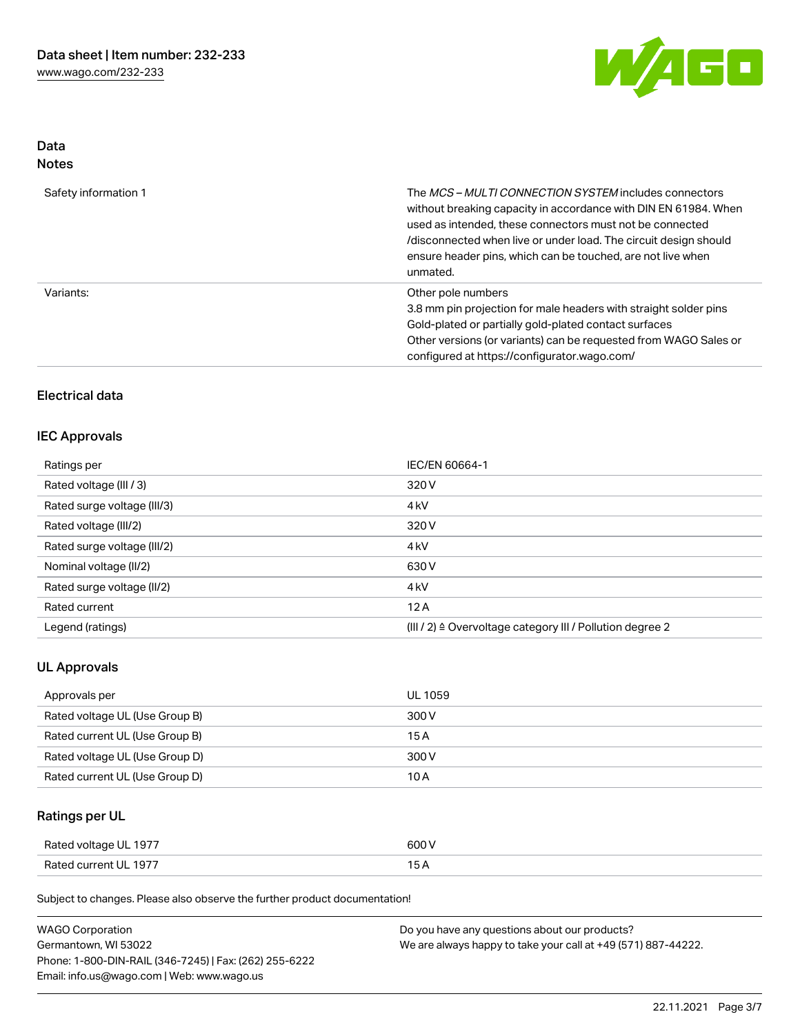

## Data Notes

| Safety information 1 | The <i>MCS – MULTI CONNECTION SYSTEM</i> includes connectors<br>without breaking capacity in accordance with DIN EN 61984. When<br>used as intended, these connectors must not be connected<br>/disconnected when live or under load. The circuit design should<br>ensure header pins, which can be touched, are not live when<br>unmated. |
|----------------------|--------------------------------------------------------------------------------------------------------------------------------------------------------------------------------------------------------------------------------------------------------------------------------------------------------------------------------------------|
| Variants:            | Other pole numbers<br>3.8 mm pin projection for male headers with straight solder pins<br>Gold-plated or partially gold-plated contact surfaces<br>Other versions (or variants) can be requested from WAGO Sales or<br>configured at https://configurator.wago.com/                                                                        |

## Electrical data

#### IEC Approvals

| Ratings per                 | IEC/EN 60664-1                                                       |
|-----------------------------|----------------------------------------------------------------------|
| Rated voltage (III / 3)     | 320 V                                                                |
| Rated surge voltage (III/3) | 4 <sub>k</sub> V                                                     |
| Rated voltage (III/2)       | 320 V                                                                |
| Rated surge voltage (III/2) | 4 <sub>k</sub> V                                                     |
| Nominal voltage (II/2)      | 630 V                                                                |
| Rated surge voltage (II/2)  | 4 <sub>k</sub> V                                                     |
| Rated current               | 12A                                                                  |
| Legend (ratings)            | (III / 2) $\triangleq$ Overvoltage category III / Pollution degree 2 |

## UL Approvals

| Approvals per                  | UL 1059 |
|--------------------------------|---------|
| Rated voltage UL (Use Group B) | 300 V   |
| Rated current UL (Use Group B) | 15 A    |
| Rated voltage UL (Use Group D) | 300 V   |
| Rated current UL (Use Group D) | 10 A    |

## Ratings per UL

| Rated voltage UL 1977 | 600 V |
|-----------------------|-------|
| Rated current UL 1977 |       |

Subject to changes. Please also observe the further product documentation!

| <b>WAGO Corporation</b>                                | Do you have any questions about our products?                 |
|--------------------------------------------------------|---------------------------------------------------------------|
| Germantown, WI 53022                                   | We are always happy to take your call at +49 (571) 887-44222. |
| Phone: 1-800-DIN-RAIL (346-7245)   Fax: (262) 255-6222 |                                                               |
| Email: info.us@wago.com   Web: www.wago.us             |                                                               |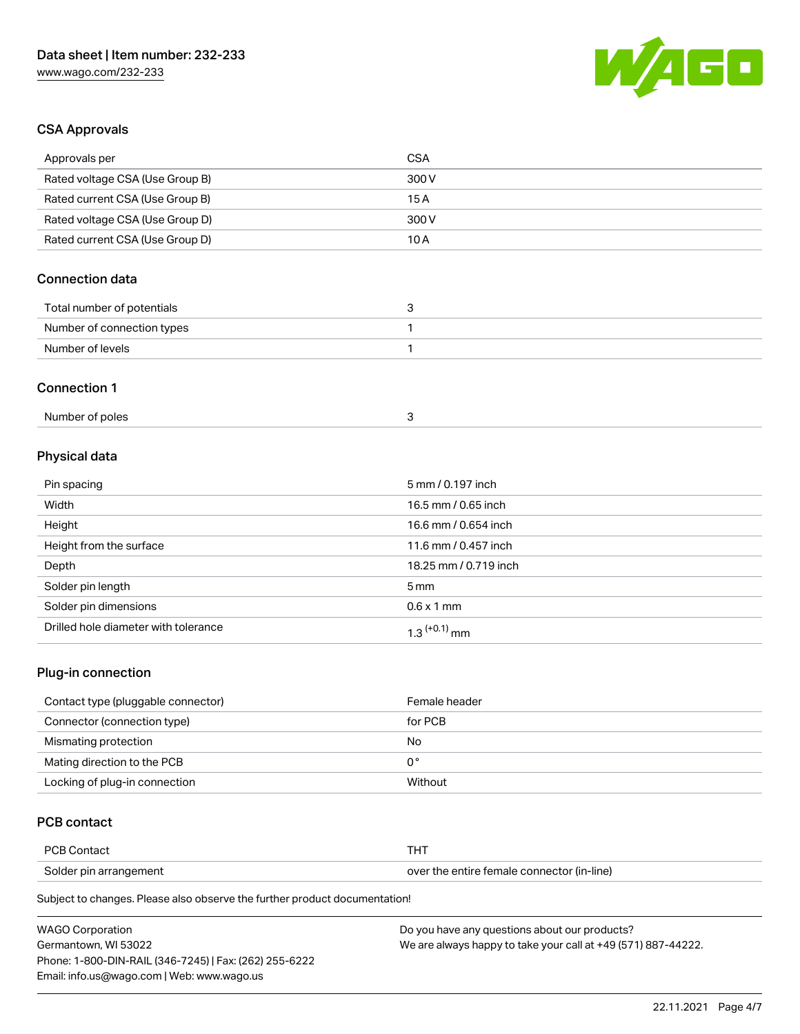

## CSA Approvals

| Approvals per                   | <b>CSA</b>            |
|---------------------------------|-----------------------|
| Rated voltage CSA (Use Group B) | 300V                  |
| Rated current CSA (Use Group B) | 15A                   |
| Rated voltage CSA (Use Group D) | 300V                  |
| Rated current CSA (Use Group D) | 10A                   |
| <b>Connection data</b>          |                       |
| Total number of potentials      | 3                     |
| Number of connection types      | 1                     |
| Number of levels                | 1                     |
| <b>Connection 1</b>             |                       |
| Number of poles                 | 3                     |
| Physical data                   |                       |
| Pin spacing                     | 5 mm / 0.197 inch     |
| Width                           | 16.5 mm / 0.65 inch   |
| Height                          | 16.6 mm / 0.654 inch  |
| Height from the surface         | 11.6 mm / 0.457 inch  |
| Depth                           | 18.25 mm / 0.719 inch |
| Solder pin length               | 5 <sub>mm</sub>       |

| ີ                                    |                   |
|--------------------------------------|-------------------|
| Solder pin dimensions                | $0.6 \times 1$ mm |
| Drilled hole diameter with tolerance | ' mm              |
|                                      |                   |

## Plug-in connection

| Contact type (pluggable connector) | Female header |
|------------------------------------|---------------|
| Connector (connection type)        | for PCB       |
| Mismating protection               | No            |
| Mating direction to the PCB        | 0°            |
| Locking of plug-in connection      | Without       |

## PCB contact

| <b>PCB Contact</b>     | п.                                         |
|------------------------|--------------------------------------------|
| Solder pin arrangement | over the entire female connector (in-line) |

Subject to changes. Please also observe the further product documentation!

| <b>WAGO Corporation</b>                                | Do you have any questions about our products?                 |
|--------------------------------------------------------|---------------------------------------------------------------|
| Germantown, WI 53022                                   | We are always happy to take your call at +49 (571) 887-44222. |
| Phone: 1-800-DIN-RAIL (346-7245)   Fax: (262) 255-6222 |                                                               |
| Email: info.us@wago.com   Web: www.wago.us             |                                                               |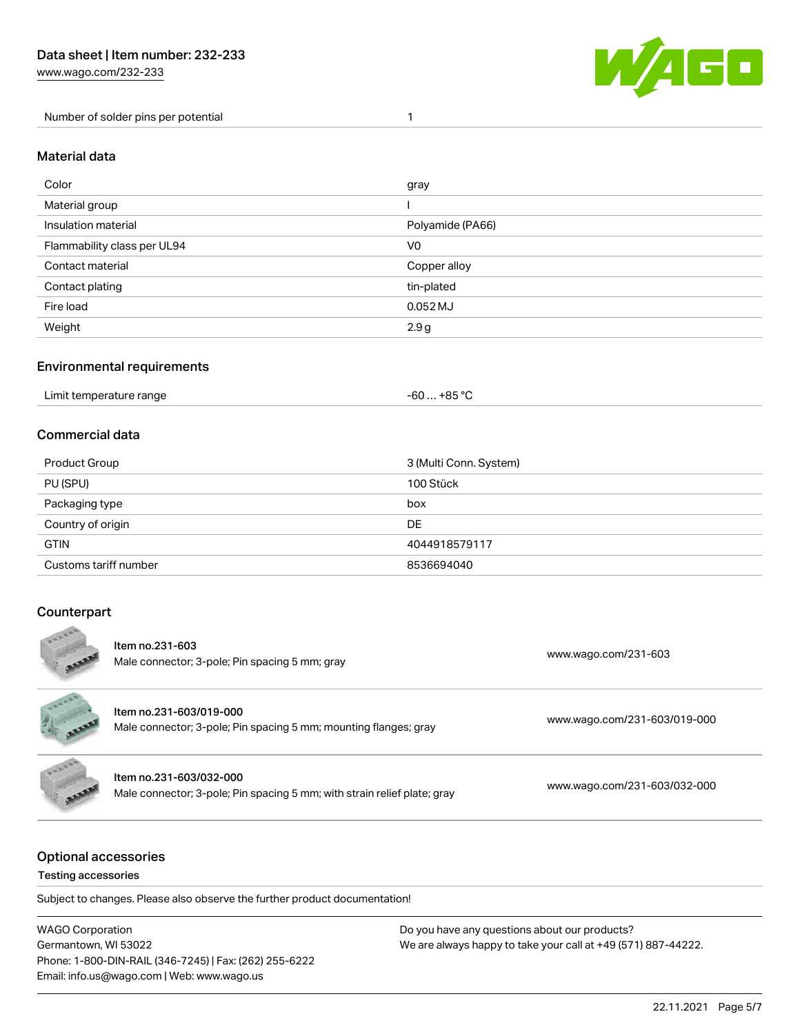[www.wago.com/232-233](http://www.wago.com/232-233)

Number of solder pins per potential 1



#### Material data

| Color                       | gray             |
|-----------------------------|------------------|
| Material group              |                  |
| Insulation material         | Polyamide (PA66) |
| Flammability class per UL94 | V <sub>0</sub>   |
| Contact material            | Copper alloy     |
| Contact plating             | tin-plated       |
| Fire load                   | $0.052$ MJ       |
| Weight                      | 2.9g             |

#### Environmental requirements

| Limit temperature range | . +85 °C<br>-60<br>___ |  |
|-------------------------|------------------------|--|
|-------------------------|------------------------|--|

## Commercial data

| Product Group         | 3 (Multi Conn. System) |
|-----------------------|------------------------|
| PU (SPU)              | 100 Stück              |
| Packaging type        | box                    |
| Country of origin     | DE                     |
| <b>GTIN</b>           | 4044918579117          |
| Customs tariff number | 8536694040             |

#### **Counterpart**  $\sim$

| ESOSE | Item no.231-603<br>Male connector; 3-pole; Pin spacing 5 mm; gray                                   | www.wago.com/231-603         |
|-------|-----------------------------------------------------------------------------------------------------|------------------------------|
| RADAR | Item no.231-603/019-000<br>Male connector; 3-pole; Pin spacing 5 mm; mounting flanges; gray         | www.wago.com/231-603/019-000 |
| EBBBB | Item no.231-603/032-000<br>Male connector; 3-pole; Pin spacing 5 mm; with strain relief plate; gray | www.wago.com/231-603/032-000 |

## Optional accessories

Testing accessories

Subject to changes. Please also observe the further product documentation!

WAGO Corporation Germantown, WI 53022 Phone: 1-800-DIN-RAIL (346-7245) | Fax: (262) 255-6222 Email: info.us@wago.com | Web: www.wago.us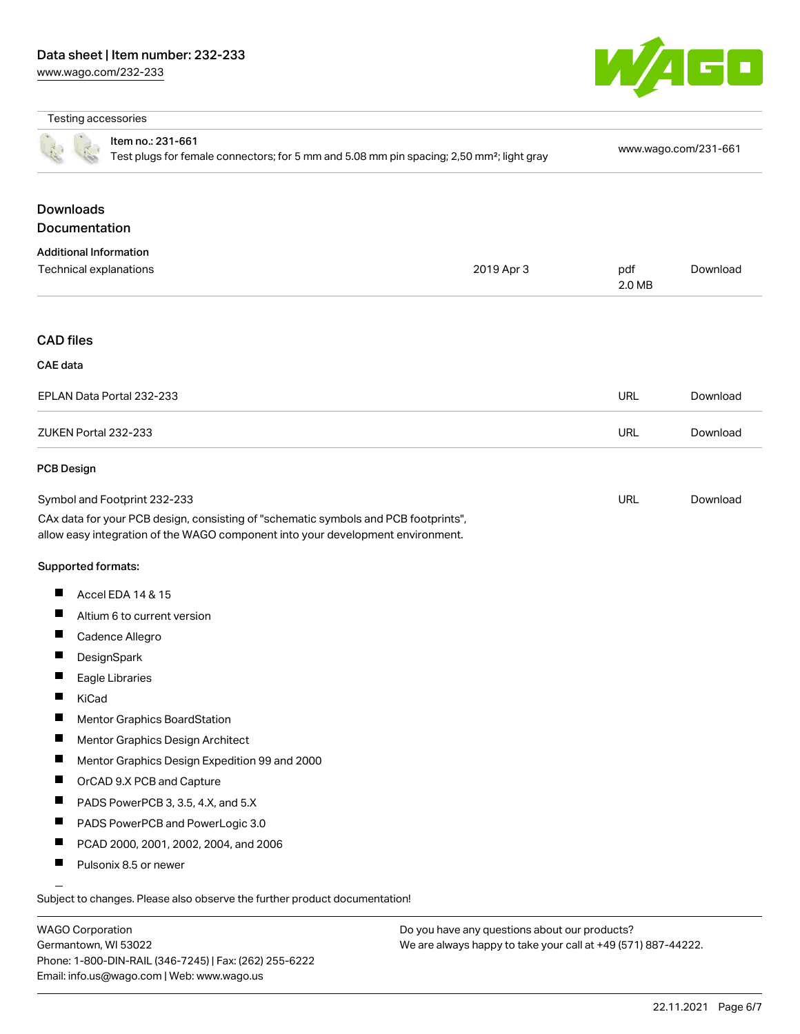

#### Testing accessories

|                                   | Item no.: 231-661<br>Test plugs for female connectors; for 5 mm and 5.08 mm pin spacing; 2,50 mm <sup>2</sup> ; light gray                                                                             |            | www.wago.com/231-661 |          |
|-----------------------------------|--------------------------------------------------------------------------------------------------------------------------------------------------------------------------------------------------------|------------|----------------------|----------|
| <b>Downloads</b><br>Documentation |                                                                                                                                                                                                        |            |                      |          |
| <b>Additional Information</b>     |                                                                                                                                                                                                        |            |                      |          |
| Technical explanations            |                                                                                                                                                                                                        | 2019 Apr 3 | pdf<br>2.0 MB        | Download |
| <b>CAD files</b>                  |                                                                                                                                                                                                        |            |                      |          |
| <b>CAE</b> data                   |                                                                                                                                                                                                        |            |                      |          |
|                                   | EPLAN Data Portal 232-233                                                                                                                                                                              |            | <b>URL</b>           | Download |
| ZUKEN Portal 232-233              |                                                                                                                                                                                                        |            | <b>URL</b>           | Download |
| <b>PCB Design</b>                 |                                                                                                                                                                                                        |            |                      |          |
|                                   | Symbol and Footprint 232-233<br>CAx data for your PCB design, consisting of "schematic symbols and PCB footprints",<br>allow easy integration of the WAGO component into your development environment. |            | <b>URL</b>           | Download |
| Supported formats:                |                                                                                                                                                                                                        |            |                      |          |
| Ш                                 | Accel EDA 14 & 15                                                                                                                                                                                      |            |                      |          |
| Ш                                 | Altium 6 to current version                                                                                                                                                                            |            |                      |          |
| Ш                                 | Cadence Allegro                                                                                                                                                                                        |            |                      |          |
| ш                                 | DesignSpark                                                                                                                                                                                            |            |                      |          |
| П                                 | Eagle Libraries                                                                                                                                                                                        |            |                      |          |
| ш<br>KiCad                        |                                                                                                                                                                                                        |            |                      |          |
| ■                                 | Mentor Graphics BoardStation                                                                                                                                                                           |            |                      |          |
|                                   | Mentor Graphics Design Architect                                                                                                                                                                       |            |                      |          |
| Ш                                 | Mentor Graphics Design Expedition 99 and 2000                                                                                                                                                          |            |                      |          |
| Ш                                 | OrCAD 9.X PCB and Capture                                                                                                                                                                              |            |                      |          |
| Ш                                 | PADS PowerPCB 3, 3.5, 4.X, and 5.X                                                                                                                                                                     |            |                      |          |
| ш                                 | PADS PowerPCB and PowerLogic 3.0                                                                                                                                                                       |            |                      |          |
| ш                                 | PCAD 2000, 2001, 2002, 2004, and 2006                                                                                                                                                                  |            |                      |          |
| Ш                                 | Pulsonix 8.5 or newer                                                                                                                                                                                  |            |                      |          |
|                                   | Subject to changes. Please also observe the further product documentation!                                                                                                                             |            |                      |          |

WAGO Corporation Germantown, WI 53022 Phone: 1-800-DIN-RAIL (346-7245) | Fax: (262) 255-6222 Email: info.us@wago.com | Web: www.wago.us